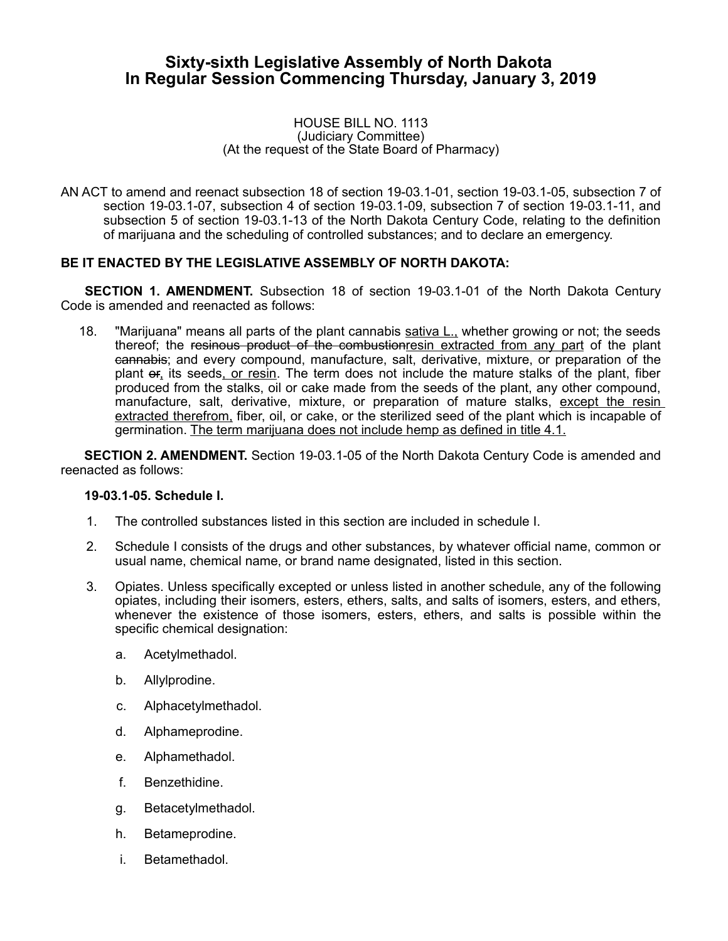# **Sixty-sixth Legislative Assembly of North Dakota In Regular Session Commencing Thursday, January 3, 2019**

#### HOUSE BILL NO. 1113 (Judiciary Committee) (At the request of the State Board of Pharmacy)

AN ACT to amend and reenact subsection 18 of section 19-03.1-01, section 19-03.1-05, subsection 7 of section 19-03.1-07, subsection 4 of section 19-03.1-09, subsection 7 of section 19-03.1-11, and subsection 5 of section 19-03.1-13 of the North Dakota Century Code, relating to the definition of marijuana and the scheduling of controlled substances; and to declare an emergency.

### **BE IT ENACTED BY THE LEGISLATIVE ASSEMBLY OF NORTH DAKOTA:**

**SECTION 1. AMENDMENT.** Subsection 18 of section 19-03.1-01 of the North Dakota Century Code is amended and reenacted as follows:

18. "Marijuana" means all parts of the plant cannabis sativa L., whether growing or not; the seeds thereof; the resinous product of the combustionresin extracted from any part of the plant cannabis; and every compound, manufacture, salt, derivative, mixture, or preparation of the plant or, its seeds, or resin. The term does not include the mature stalks of the plant, fiber produced from the stalks, oil or cake made from the seeds of the plant, any other compound, manufacture, salt, derivative, mixture, or preparation of mature stalks, except the resin extracted therefrom, fiber, oil, or cake, or the sterilized seed of the plant which is incapable of germination. The term marijuana does not include hemp as defined in title 4.1.

**SECTION 2. AMENDMENT.** Section 19-03.1-05 of the North Dakota Century Code is amended and reenacted as follows:

#### **19-03.1-05. Schedule I.**

- 1. The controlled substances listed in this section are included in schedule I.
- 2. Schedule I consists of the drugs and other substances, by whatever official name, common or usual name, chemical name, or brand name designated, listed in this section.
- 3. Opiates. Unless specifically excepted or unless listed in another schedule, any of the following opiates, including their isomers, esters, ethers, salts, and salts of isomers, esters, and ethers, whenever the existence of those isomers, esters, ethers, and salts is possible within the specific chemical designation:
	- a. Acetylmethadol.
	- b. Allylprodine.
	- c. Alphacetylmethadol.
	- d. Alphameprodine.
	- e. Alphamethadol.
	- f. Benzethidine.
	- g. Betacetylmethadol.
	- h. Betameprodine.
	- i. Betamethadol.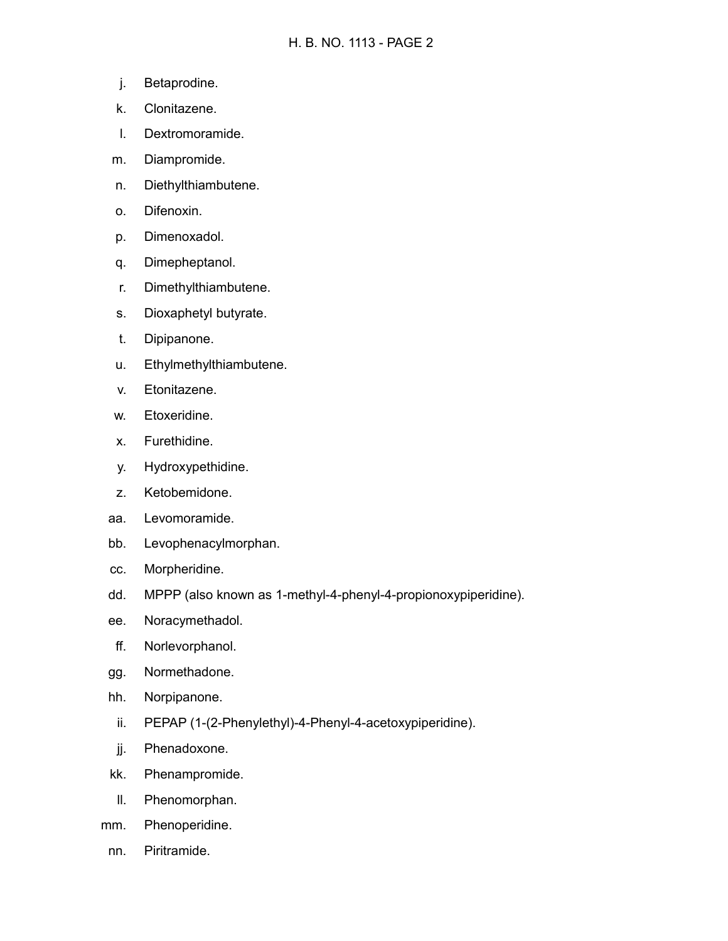- j. Betaprodine.
- k. Clonitazene.
- l. Dextromoramide.
- m. Diampromide.
- n. Diethylthiambutene.
- o. Difenoxin.
- p. Dimenoxadol.
- q. Dimepheptanol.
- r. Dimethylthiambutene.
- s. Dioxaphetyl butyrate.
- t. Dipipanone.
- u. Ethylmethylthiambutene.
- v. Etonitazene.
- w. Etoxeridine.
- x. Furethidine.
- y. Hydroxypethidine.
- z. Ketobemidone.
- aa. Levomoramide.
- bb. Levophenacylmorphan.
- cc. Morpheridine.
- dd. MPPP (also known as 1-methyl-4-phenyl-4-propionoxypiperidine).
- ee. Noracymethadol.
- ff. Norlevorphanol.
- gg. Normethadone.
- hh. Norpipanone.
	- ii. PEPAP (1-(2-Phenylethyl)-4-Phenyl-4-acetoxypiperidine).
- jj. Phenadoxone.
- kk. Phenampromide.
- ll. Phenomorphan.
- mm. Phenoperidine.
- nn. Piritramide.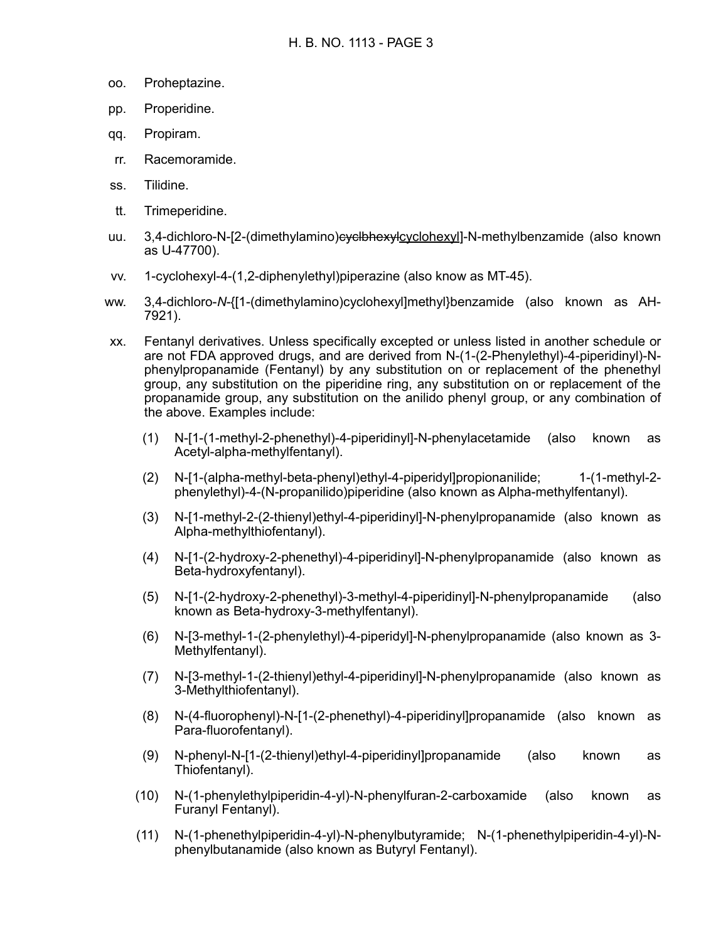- oo. Proheptazine.
- pp. Properidine.
- qq. Propiram.
- rr. Racemoramide.
- ss. Tilidine.
- tt. Trimeperidine.
- uu. 3.4-dichloro-N-[2-(dimethylamino)evelbhexylcyclohexyl]-N-methylbenzamide (also known as U-47700).
- vv. 1-cyclohexyl-4-(1,2-diphenylethyl)piperazine (also know as MT-45).
- ww. 3,4-dichloro-*N*-{[1-(dimethylamino)cyclohexyl]methyl}benzamide (also known as AH-7921).
- xx. Fentanyl derivatives. Unless specifically excepted or unless listed in another schedule or are not FDA approved drugs, and are derived from N-(1-(2-Phenylethyl)-4-piperidinyl)-Nphenylpropanamide (Fentanyl) by any substitution on or replacement of the phenethyl group, any substitution on the piperidine ring, any substitution on or replacement of the propanamide group, any substitution on the anilido phenyl group, or any combination of the above. Examples include:
	- (1) N-[1-(1-methyl-2-phenethyl)-4-piperidinyl]-N-phenylacetamide (also known as Acetyl-alpha-methylfentanyl).
	- (2) N-[1-(alpha-methyl-beta-phenyl)ethyl-4-piperidyl]propionanilide; 1-(1-methyl-2 phenylethyl)-4-(N-propanilido)piperidine (also known as Alpha-methylfentanyl).
	- (3) N-[1-methyl-2-(2-thienyl)ethyl-4-piperidinyl]-N-phenylpropanamide (also known as Alpha-methylthiofentanyl).
	- (4) N-[1-(2-hydroxy-2-phenethyl)-4-piperidinyl]-N-phenylpropanamide (also known as Beta-hydroxyfentanyl).
	- (5) N-[1-(2-hydroxy-2-phenethyl)-3-methyl-4-piperidinyl]-N-phenylpropanamide (also known as Beta-hydroxy-3-methylfentanyl).
	- (6) N-[3-methyl-1-(2-phenylethyl)-4-piperidyl]-N-phenylpropanamide (also known as 3- Methylfentanyl).
	- (7) N-[3-methyl-1-(2-thienyl)ethyl-4-piperidinyl]-N-phenylpropanamide (also known as 3-Methylthiofentanyl).
	- (8) N-(4-fluorophenyl)-N-[1-(2-phenethyl)-4-piperidinyl]propanamide (also known as Para-fluorofentanyl).
	- (9) N-phenyl-N-[1-(2-thienyl)ethyl-4-piperidinyl]propanamide (also known as Thiofentanyl).
	- (10) N-(1-phenylethylpiperidin-4-yl)-N-phenylfuran-2-carboxamide (also known as Furanyl Fentanyl).
	- (11) N-(1-phenethylpiperidin-4-yl)-N-phenylbutyramide; N-(1-phenethylpiperidin-4-yl)-Nphenylbutanamide (also known as Butyryl Fentanyl).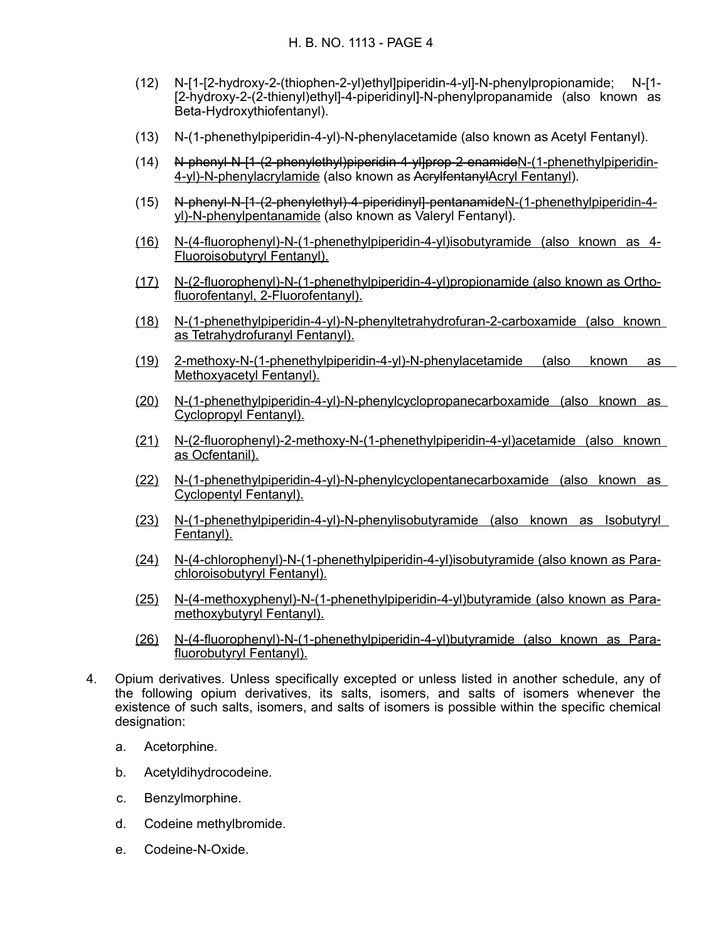- (12) N-[1-[2-hydroxy-2-(thiophen-2-yl)ethyl]piperidin-4-yl]-N-phenylpropionamide; N-[1- [2-hydroxy-2-(2-thienyl)ethyl]-4-piperidinyl]-N-phenylpropanamide (also known as Beta-Hydroxythiofentanyl).
- (13) N-(1-phenethylpiperidin-4-yl)-N-phenylacetamide (also known as Acetyl Fentanyl).
- (14) N-phenyl-N-[1-(2-phenylethyl)piperidin-4-yl]prop-2-enamide N-(1 phenethylpiperidin-4-yl)-N-phenylacrylamide (also known as AcrylfentanylAcryl Fentanyl).
- (15) N-phenyl-N-[1-(2-phenylethyl)-4-piperidinyl]-pentanamide N-(1 phenethylpiperidin-4 yl)-N-phenylpentanamide (also known as Valeryl Fentanyl).
- (16) N-(4-fluorophenyl)-N-(1-phenethylpiperidin-4-yl)isobutyramide (also known as 4- Fluoroisobutyryl Fentanyl).
- (17) N-(2-fluorophenyl)-N-(1-phenethylpiperidin-4-yl)propionamide (also known as Orthofluorofentanyl, 2-Fluorofentanyl).
- (18) N-(1-phenethylpiperidin-4-yl)-N-phenyltetrahydrofuran-2-carboxamide (also known as Tetrahydrofuranyl Fentanyl).
- (19) 2-methoxy-N-(1-phenethylpiperidin-4-yl)-N-phenylacetamide (also known as Methoxyacetyl Fentanyl).
- (20) N-(1-phenethylpiperidin-4-yl)-N-phenylcyclopropanecarboxamide (also known as Cyclopropyl Fentanyl).
- (21) N-(2-fluorophenyl)-2-methoxy-N-(1-phenethylpiperidin-4-yl)acetamide (also known as Ocfentanil).
- (22) N-(1-phenethylpiperidin-4-yl)-N-phenylcyclopentanecarboxamide (also known as Cyclopentyl Fentanyl).
- (23) N-(1-phenethylpiperidin-4-yl)-N-phenylisobutyramide (also known as Isobutyryl Fentanyl).
- (24) N-(4-chlorophenyl)-N-(1-phenethylpiperidin-4-yl)isobutyramide (also known as Parachloroisobutyryl Fentanyl).
- (25) N-(4-methoxyphenyl)-N-(1-phenethylpiperidin-4-yl)butyramide (also known as Paramethoxybutyryl Fentanyl).
- (26) N-(4-fluorophenyl)-N-(1-phenethylpiperidin-4-yl)butyramide (also known as Parafluorobutyryl Fentanyl).
- 4. Opium derivatives. Unless specifically excepted or unless listed in another schedule, any of the following opium derivatives, its salts, isomers, and salts of isomers whenever the existence of such salts, isomers, and salts of isomers is possible within the specific chemical designation:
	- a. Acetorphine.
	- b. Acetyldihydrocodeine.
	- c. Benzylmorphine.
	- d. Codeine methylbromide.
	- e. Codeine-N-Oxide.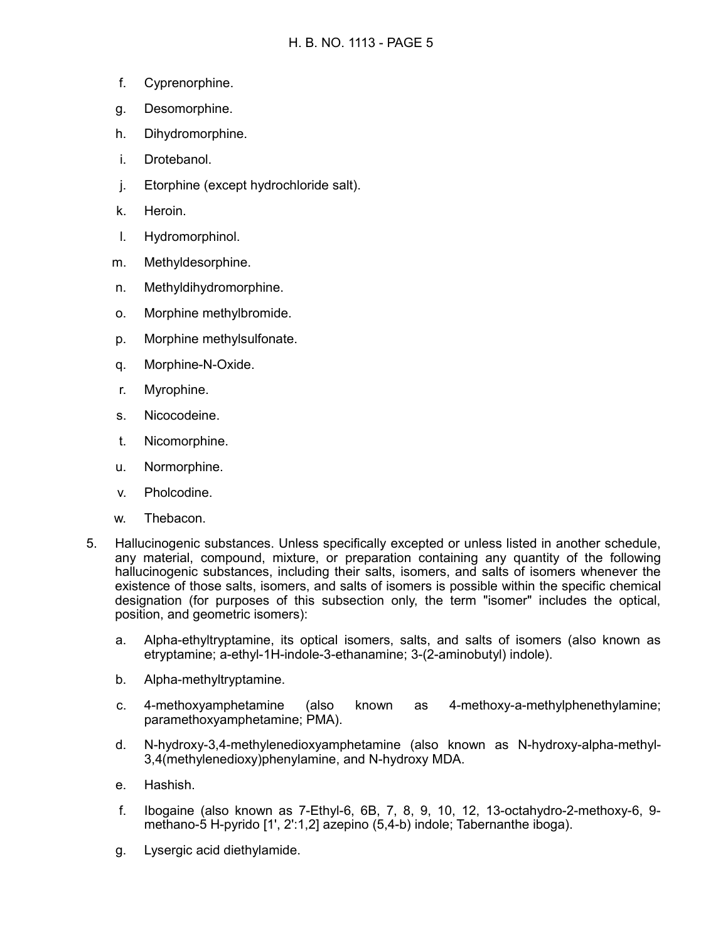- f. Cyprenorphine.
- g. Desomorphine.
- h. Dihydromorphine.
- i. Drotebanol.
- j. Etorphine (except hydrochloride salt).
- k. Heroin.
- l. Hydromorphinol.
- m. Methyldesorphine.
- n. Methyldihydromorphine.
- o. Morphine methylbromide.
- p. Morphine methylsulfonate.
- q. Morphine-N-Oxide.
- r. Myrophine.
- s. Nicocodeine.
- t. Nicomorphine.
- u. Normorphine.
- v. Pholcodine.
- w. Thebacon.
- 5. Hallucinogenic substances. Unless specifically excepted or unless listed in another schedule, any material, compound, mixture, or preparation containing any quantity of the following hallucinogenic substances, including their salts, isomers, and salts of isomers whenever the existence of those salts, isomers, and salts of isomers is possible within the specific chemical designation (for purposes of this subsection only, the term "isomer" includes the optical, position, and geometric isomers):
	- a. Alpha-ethyltryptamine, its optical isomers, salts, and salts of isomers (also known as etryptamine; a-ethyl-1H-indole-3-ethanamine; 3-(2-aminobutyl) indole).
	- b. Alpha-methyltryptamine.
	- c. 4-methoxyamphetamine (also known as 4-methoxy-a-methylphenethylamine; paramethoxyamphetamine; PMA).
	- d. N-hydroxy-3,4-methylenedioxyamphetamine (also known as N-hydroxy-alpha-methyl-3,4(methylenedioxy)phenylamine, and N-hydroxy MDA.
	- e. Hashish.
	- f. Ibogaine (also known as 7-Ethyl-6, 6B, 7, 8, 9, 10, 12, 13-octahydro-2-methoxy-6, 9 methano-5 H-pyrido [1', 2':1,2] azepino (5,4-b) indole; Tabernanthe iboga).
	- g. Lysergic acid diethylamide.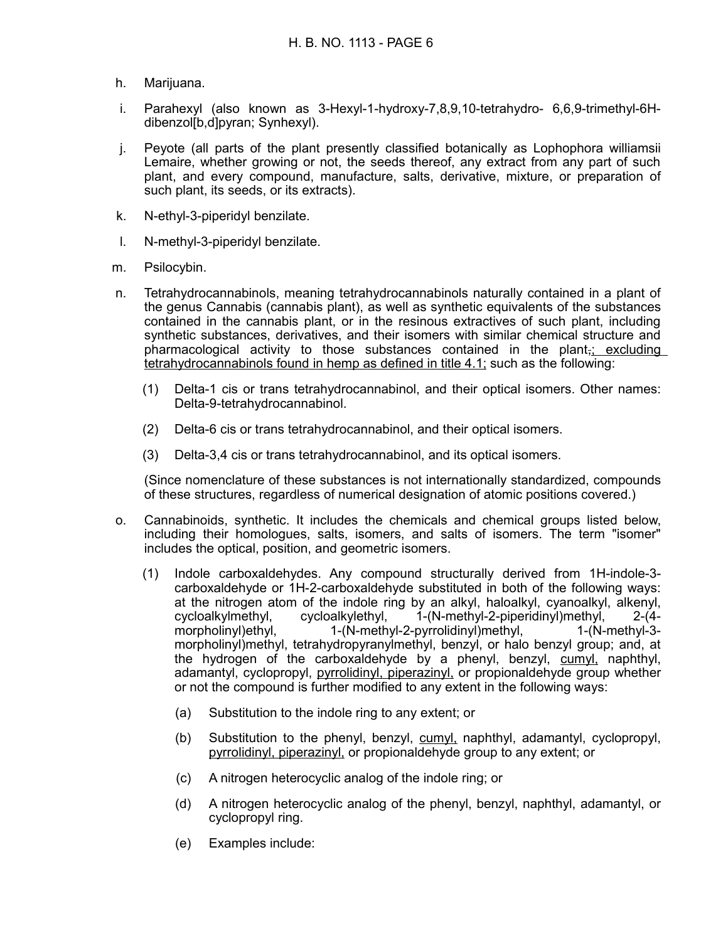- h. Marijuana.
- i. Parahexyl (also known as 3-Hexyl-1-hydroxy-7,8,9,10-tetrahydro- 6,6,9-trimethyl-6Hdibenzol[b,d]pyran; Synhexyl).
- j. Peyote (all parts of the plant presently classified botanically as Lophophora williamsii Lemaire, whether growing or not, the seeds thereof, any extract from any part of such plant, and every compound, manufacture, salts, derivative, mixture, or preparation of such plant, its seeds, or its extracts).
- k. N-ethyl-3-piperidyl benzilate.
- l. N-methyl-3-piperidyl benzilate.
- m. Psilocybin.
- n. Tetrahydrocannabinols, meaning tetrahydrocannabinols naturally contained in a plant of the genus Cannabis (cannabis plant), as well as synthetic equivalents of the substances contained in the cannabis plant, or in the resinous extractives of such plant, including synthetic substances, derivatives, and their isomers with similar chemical structure and pharmacological activity to those substances contained in the plant,; excluding tetrahydrocannabinols found in hemp as defined in title 4.1; such as the following:
	- (1) Delta-1 cis or trans tetrahydrocannabinol, and their optical isomers. Other names: Delta-9-tetrahydrocannabinol.
	- (2) Delta-6 cis or trans tetrahydrocannabinol, and their optical isomers.
	- (3) Delta-3,4 cis or trans tetrahydrocannabinol, and its optical isomers.

(Since nomenclature of these substances is not internationally standardized, compounds of these structures, regardless of numerical designation of atomic positions covered.)

- o. Cannabinoids, synthetic. It includes the chemicals and chemical groups listed below, including their homologues, salts, isomers, and salts of isomers. The term "isomer" includes the optical, position, and geometric isomers.
	- (1) Indole carboxaldehydes. Any compound structurally derived from 1H-indole-3 carboxaldehyde or 1H-2-carboxaldehyde substituted in both of the following ways: at the nitrogen atom of the indole ring by an alkyl, haloalkyl, cyanoalkyl, alkenyl,<br>cycloalkylmethyl, cycloalkylethyl, 1-(N-methyl-2-piperidinyl)methyl. 2-44cycloalkylmethyl, cycloalkylethyl, 1-(N-methyl-2-piperidinyl)methyl, morpholinyl)ethyl, 1-(N-methyl-2-pyrrolidinyl)methyl, 1-(N-methyl-3 morpholinyl)methyl, tetrahydropyranylmethyl, benzyl, or halo benzyl group; and, at the hydrogen of the carboxaldehyde by a phenyl, benzyl, cumyl, naphthyl, adamantyl, cyclopropyl, pyrrolidinyl, piperazinyl, or propionaldehyde group whether or not the compound is further modified to any extent in the following ways:
		- (a) Substitution to the indole ring to any extent; or
		- (b) Substitution to the phenyl, benzyl, cumyl, naphthyl, adamantyl, cyclopropyl, pyrrolidinyl, piperazinyl, or propionaldehyde group to any extent; or
		- (c) A nitrogen heterocyclic analog of the indole ring; or
		- (d) A nitrogen heterocyclic analog of the phenyl, benzyl, naphthyl, adamantyl, or cyclopropyl ring.
		- (e) Examples include: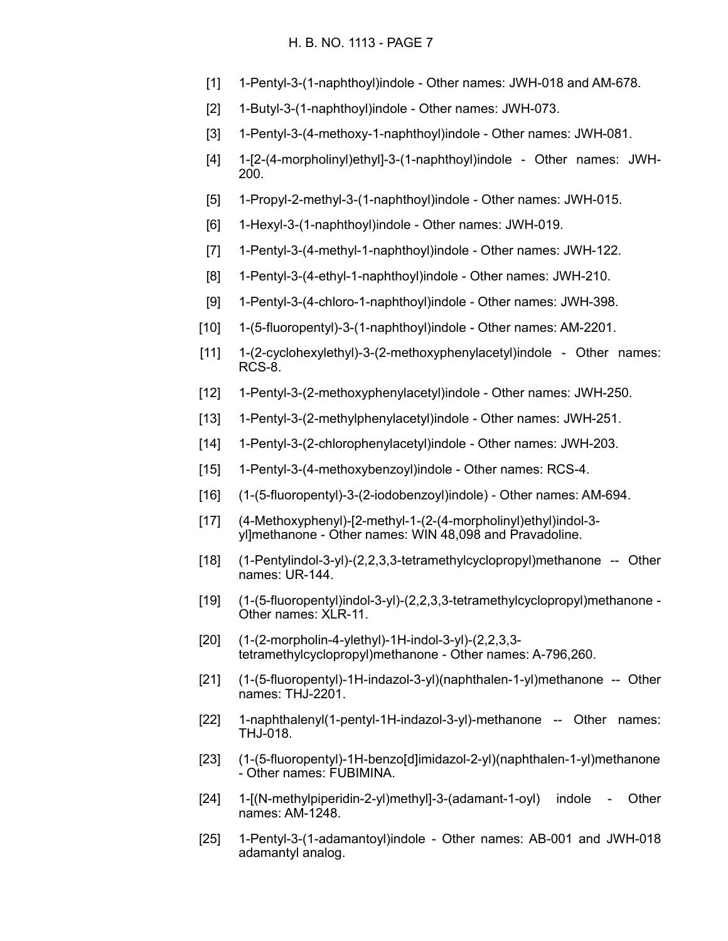- [1] 1-Pentyl-3-(1-naphthoyl)indole Other names: JWH-018 and AM-678.
- [2] 1-Butyl-3-(1-naphthoyl)indole Other names: JWH-073.
- [3] 1-Pentyl-3-(4-methoxy-1-naphthoyl)indole Other names: JWH-081.
- [4] 1-[2-(4-morpholinyl)ethyl]-3-(1-naphthoyl)indole Other names: JWH-200.
- [5] 1-Propyl-2-methyl-3-(1-naphthoyl)indole Other names: JWH-015.
- [6] 1-Hexyl-3-(1-naphthoyl)indole Other names: JWH-019.
- [7] 1-Pentyl-3-(4-methyl-1-naphthoyl)indole Other names: JWH-122.
- [8] 1-Pentyl-3-(4-ethyl-1-naphthoyl)indole Other names: JWH-210.
- [9] 1-Pentyl-3-(4-chloro-1-naphthoyl)indole Other names: JWH-398.
- [10] 1-(5-fluoropentyl)-3-(1-naphthoyl)indole Other names: AM-2201.
- [11] 1-(2-cyclohexylethyl)-3-(2-methoxyphenylacetyl)indole Other names: RCS-8.
- [12] 1-Pentyl-3-(2-methoxyphenylacetyl)indole Other names: JWH-250.
- [13] 1-Pentyl-3-(2-methylphenylacetyl)indole Other names: JWH-251.
- [14] 1-Pentyl-3-(2-chlorophenylacetyl)indole Other names: JWH-203.
- [15] 1-Pentyl-3-(4-methoxybenzoyl)indole Other names: RCS-4.
- [16] (1-(5-fluoropentyl)-3-(2-iodobenzoyl)indole) Other names: AM-694.
- [17] (4-Methoxyphenyl)-[2-methyl-1-(2-(4-morpholinyl)ethyl)indol-3 yl]methanone - Other names: WIN 48,098 and Pravadoline.
- [18] (1-Pentylindol-3-yl)-(2,2,3,3-tetramethylcyclopropyl)methanone -- Other names: UR-144.
- [19] (1-(5-fluoropentyl)indol-3-yl)-(2,2,3,3-tetramethylcyclopropyl)methanone Other names: XLR-11.
- [20] (1-(2-morpholin-4-ylethyl)-1H-indol-3-yl)-(2,2,3,3 tetramethylcyclopropyl)methanone - Other names: A-796,260.
- [21] (1-(5-fluoropentyl)-1H-indazol-3-yl)(naphthalen-1-yl)methanone -- Other names: THJ-2201.
- [22] 1-naphthalenyl(1-pentyl-1H-indazol-3-yl)-methanone -- Other names: THJ-018.
- [23] (1-(5-fluoropentyl)-1H-benzo[d]imidazol-2-yl)(naphthalen-1-yl)methanone - Other names: FUBIMINA.
- [24] 1-[(N-methylpiperidin-2-yl)methyl]-3-(adamant-1-oyl) indole Other names: AM-1248.
- [25] 1-Pentyl-3-(1-adamantoyl)indole Other names: AB-001 and JWH-018 adamantyl analog.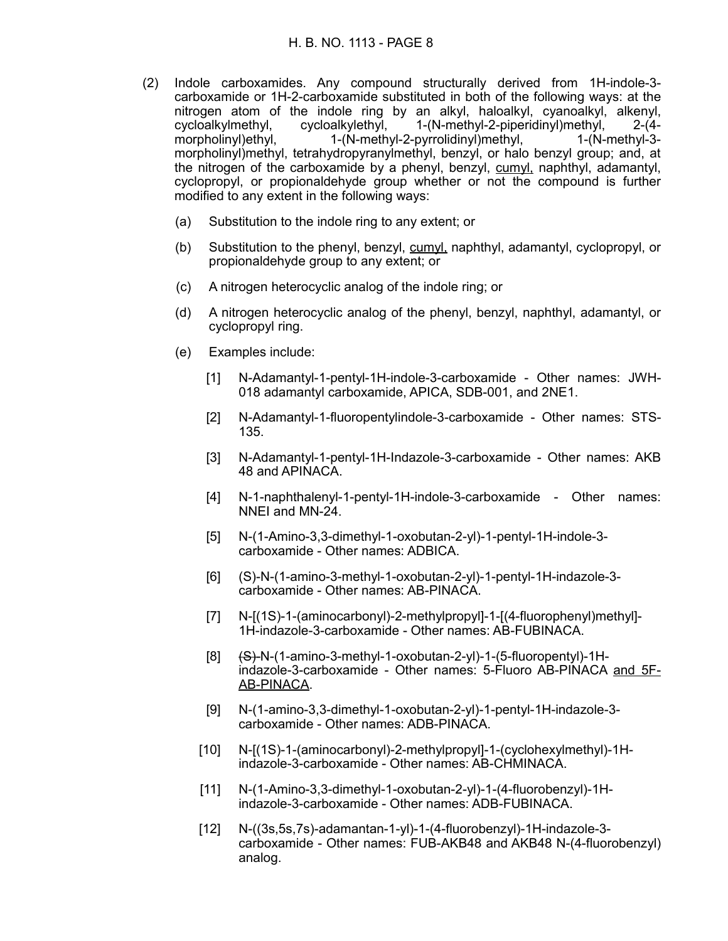- (2) Indole carboxamides. Any compound structurally derived from 1H-indole-3 carboxamide or 1H-2-carboxamide substituted in both of the following ways: at the nitrogen atom of the indole ring by an alkyl, haloalkyl, cyanoalkyl, alkenyl, cycloalkylmethyl, cycloalkylethyl, 1-(N-methyl-2-piperidinyl)methyl, 2-(4 morpholinyl)ethyl, 1-(N-methyl-2-pyrrolidinyl)methyl, 1-(N-methyl-3 morpholinyl)methyl, tetrahydropyranylmethyl, benzyl, or halo benzyl group; and, at the nitrogen of the carboxamide by a phenyl, benzyl, cumyl, naphthyl, adamantyl, cyclopropyl, or propionaldehyde group whether or not the compound is further modified to any extent in the following ways:
	- (a) Substitution to the indole ring to any extent; or
	- (b) Substitution to the phenyl, benzyl, cumyl, naphthyl, adamantyl, cyclopropyl, or propionaldehyde group to any extent; or
	- (c) A nitrogen heterocyclic analog of the indole ring; or
	- (d) A nitrogen heterocyclic analog of the phenyl, benzyl, naphthyl, adamantyl, or cyclopropyl ring.
	- (e) Examples include:
		- [1] N-Adamantyl-1-pentyl-1H-indole-3-carboxamide Other names: JWH-018 adamantyl carboxamide, APICA, SDB-001, and 2NE1.
		- [2] N-Adamantyl-1-fluoropentylindole-3-carboxamide Other names: STS-135.
		- [3] N-Adamantyl-1-pentyl-1H-Indazole-3-carboxamide Other names: AKB 48 and APINACA.
		- [4] N-1-naphthalenyl-1-pentyl-1H-indole-3-carboxamide Other names: NNEI and MN-24.
		- [5] N-(1-Amino-3,3-dimethyl-1-oxobutan-2-yl)-1-pentyl-1H-indole-3 carboxamide - Other names: ADBICA.
		- [6] (S)-N-(1-amino-3-methyl-1-oxobutan-2-yl)-1-pentyl-1H-indazole-3 carboxamide - Other names: AB-PINACA.
		- [7] N-[(1S)-1-(aminocarbonyl)-2-methylpropyl]-1-[(4-fluorophenyl)methyl]- 1H-indazole-3-carboxamide - Other names: AB-FUBINACA.
		- $[8]$   $\{S\}$ -N-(1-amino-3-methyl-1-oxobutan-2-yl)-1-(5-fluoropentyl)-1Hindazole-3-carboxamide - Other names: 5-Fluoro AB-PINACA and 5F-AB-PINACA.
		- [9] N-(1-amino-3,3-dimethyl-1-oxobutan-2-yl)-1-pentyl-1H-indazole-3 carboxamide - Other names: ADB-PINACA.
		- [10] N-[(1S)-1-(aminocarbonyl)-2-methylpropyl]-1-(cyclohexylmethyl)-1Hindazole-3-carboxamide - Other names: AB-CHMINACA.
		- [11] N-(1-Amino-3,3-dimethyl-1-oxobutan-2-yl)-1-(4-fluorobenzyl)-1Hindazole-3-carboxamide - Other names: ADB-FUBINACA.
		- [12] N-((3s,5s,7s)-adamantan-1-yl)-1-(4-fluorobenzyl)-1H-indazole-3 carboxamide - Other names: FUB-AKB48 and AKB48 N-(4-fluorobenzyl) analog.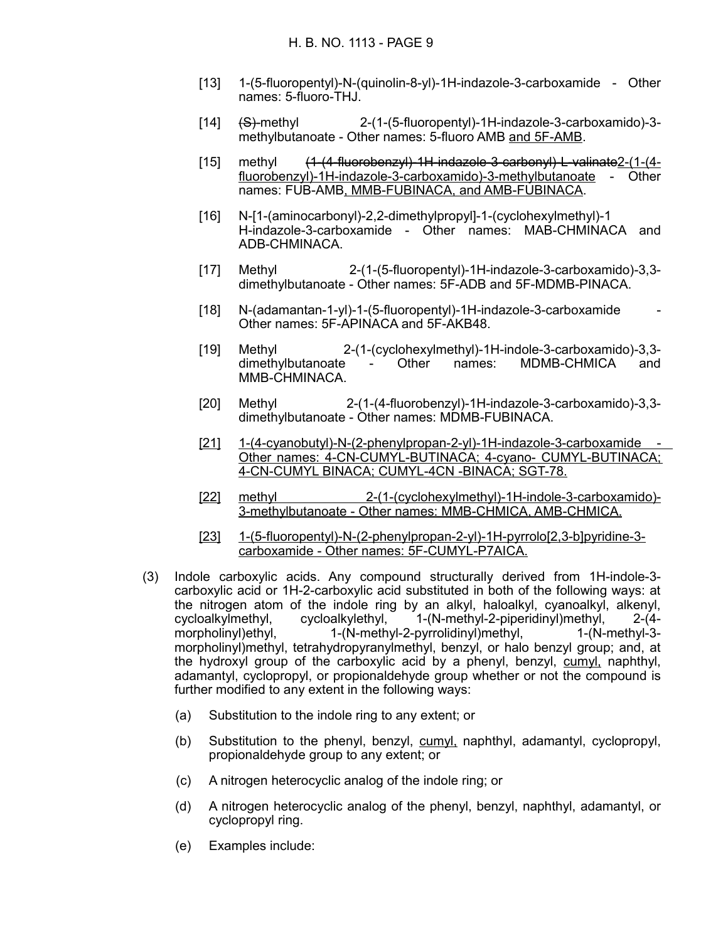- [13] 1-(5-fluoropentyl)-N-(quinolin-8-yl)-1H-indazole-3-carboxamide Other names: 5-fluoro-THJ.
- [14] (S)-methyl 2-(1-(5-fluoropentyl)-1H-indazole-3-carboxamido)-3 methylbutanoate - Other names: 5-fluoro AMB and 5F-AMB.
- [15] methyl (1-(4-fluorobenzyl)-1H-indazole-3-carbonyl)-L-valinate2-(1-(4 fluorobenzyl)-1H-indazole-3-carboxamido)-3-methylbutanoate - Other names: FUB-AMB, MMB-FUBINACA, and AMB-FUBINACA.
- [16] N-[1-(aminocarbonyl)-2,2-dimethylpropyl]-1-(cyclohexylmethyl)-1 H-indazole-3-carboxamide - Other names: MAB-CHMINACA and ADB-CHMINACA.
- [17] Methyl 2-(1-(5-fluoropentyl)-1H-indazole-3-carboxamido)-3,3 dimethylbutanoate - Other names: 5F-ADB and 5F-MDMB-PINACA.
- $[18]$  N-(adamantan-1-yl)-1-(5-fluoropentyl)-1H-indazole-3-carboxamide Other names: 5F-APINACA and 5F-AKB48.
- [19] Methyl 2-(1-(cyclohexylmethyl)-1H-indole-3-carboxamido)-3,3 dimethylbutanoate - Other names: MDMB-CHMICA and MMB-CHMINACA.
- [20] Methyl 2-(1-(4-fluorobenzyl)-1H-indazole-3-carboxamido)-3,3 dimethylbutanoate - Other names: MDMB-FUBINACA.
- [21] 1-(4-cyanobutyl)-N-(2-phenylpropan-2-yl)-1H-indazole-3-carboxamide Other names: 4-CN-CUMYL-BUTINACA; 4-cyano- CUMYL-BUTINACA; 4-CN-CUMYL BINACA; CUMYL-4CN -BINACA; SGT-78.
- [22] methyl 2-(1-(cyclohexylmethyl)-1H-indole-3-carboxamido)- 3-methylbutanoate - Other names: MMB-CHMICA, AMB-CHMICA.
- [23] 1-(5-fluoropentyl)-N-(2-phenylpropan-2-yl)-1H-pyrrolo[2,3 b]pyridine-3 carboxamide - Other names: 5F-CUMYL-P7AICA.
- (3) Indole carboxylic acids. Any compound structurally derived from 1H-indole-3 carboxylic acid or 1H-2-carboxylic acid substituted in both of the following ways: at the nitrogen atom of the indole ring by an alkyl, haloalkyl, cyanoalkyl, alkenyl, cycloalkylmethyl, cycloalkylethyl, 1-(N-methyl-2-piperidinyl)methyl, 2-(4 morpholinyl)ethyl, 1-(N-methyl-2-pyrrolidinyl)methyl, 1-(N-methyl-3morpholinyl)methyl, tetrahydropyranylmethyl, benzyl, or halo benzyl group; and, at the hydroxyl group of the carboxylic acid by a phenyl, benzyl, cumyl, naphthyl, adamantyl, cyclopropyl, or propionaldehyde group whether or not the compound is further modified to any extent in the following ways:
	- (a) Substitution to the indole ring to any extent; or
	- (b) Substitution to the phenyl, benzyl, cumyl, naphthyl, adamantyl, cyclopropyl, propionaldehyde group to any extent; or
	- (c) A nitrogen heterocyclic analog of the indole ring; or
	- (d) A nitrogen heterocyclic analog of the phenyl, benzyl, naphthyl, adamantyl, or cyclopropyl ring.
	- (e) Examples include: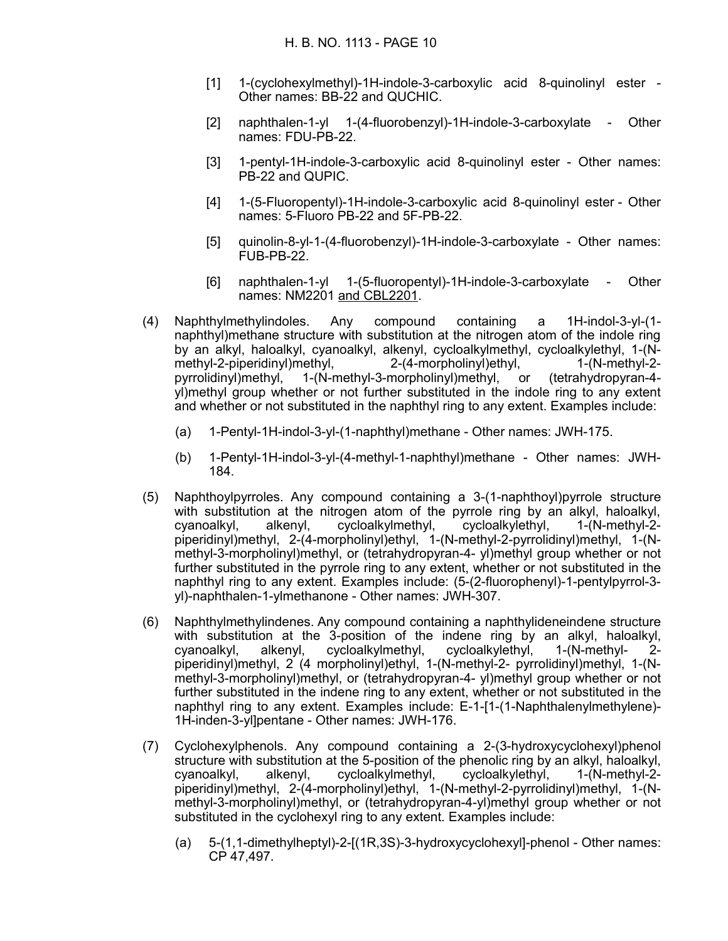- [1] 1-(cyclohexylmethyl)-1H-indole-3-carboxylic acid 8-quinolinyl ester Other names: BB-22 and QUCHIC.
- [2] naphthalen-1-yl 1-(4-fluorobenzyl)-1H-indole-3-carboxylate Other names: FDU-PB-22.
- [3] 1-pentyl-1H-indole-3-carboxylic acid 8-quinolinyl ester Other names: PB-22 and QUPIC.
- [4] 1-(5-Fluoropentyl)-1H-indole-3-carboxylic acid 8-quinolinyl ester Other names: 5-Fluoro PB-22 and 5F-PB-22.
- [5] quinolin-8-yl-1-(4-fluorobenzyl)-1H-indole-3-carboxylate Other names: FUB-PB-22.
- [6] naphthalen-1-yl 1-(5-fluoropentyl)-1H-indole-3-carboxylate Other names: NM2201 and CBL2201.
- (4) Naphthylmethylindoles. Any compound containing a 1H-indol-3-yl-(1 naphthyl)methane structure with substitution at the nitrogen atom of the indole ring by an alkyl, haloalkyl, cyanoalkyl, alkenyl, cycloalkylmethyl, cycloalkylethyl, 1-(N-<br>methyl-2-piperidinyl)methyl, 2-(4-morpholinyl)ethyl, 1-(N-methyl-2methyl-2-piperidinyl)methyl, 2-(4-morpholinyl)ethyl, 1-(N-methyl-2 pyrrolidinyl)methyl, 1-(N-methyl-3-morpholinyl)methyl, or (tetrahydropyran-4 yl)methyl group whether or not further substituted in the indole ring to any extent and whether or not substituted in the naphthyl ring to any extent. Examples include:
	- (a) 1-Pentyl-1H-indol-3-yl-(1-naphthyl)methane Other names: JWH-175.
	- (b) 1-Pentyl-1H-indol-3-yl-(4-methyl-1-naphthyl)methane Other names: JWH-184.
- (5) Naphthoylpyrroles. Any compound containing a 3-(1-naphthoyl)pyrrole structure with substitution at the nitrogen atom of the pyrrole ring by an alkyl, haloalkyl, cyanoalkyl, alkenyl, cycloalkylmethyl, cycloalkylethyl, 1-(N-methyl-2 piperidinyl)methyl, 2-(4-morpholinyl)ethyl, 1-(N-methyl-2-pyrrolidinyl)methyl, 1-(Nmethyl-3-morpholinyl)methyl, or (tetrahydropyran-4- yl)methyl group whether or not further substituted in the pyrrole ring to any extent, whether or not substituted in the naphthyl ring to any extent. Examples include: (5-(2-fluorophenyl)-1-pentylpyrrol-3 yl)-naphthalen-1-ylmethanone - Other names: JWH-307.
- (6) Naphthylmethylindenes. Any compound containing a naphthylideneindene structure with substitution at the 3-position of the indene ring by an alkyl, haloalkyl,<br>cyanoalkyl, alkenyl, cycloalkylmethyl, cycloalkylethyl, 1-(N-methyl- 2cyanoalkyl, alkenyl, cycloalkylmethyl, cycloalkylethyl, 1-(N-methyl- 2 piperidinyl)methyl, 2 (4 morpholinyl)ethyl, 1-(N-methyl-2- pyrrolidinyl)methyl, 1-(Nmethyl-3-morpholinyl)methyl, or (tetrahydropyran-4- yl)methyl group whether or not further substituted in the indene ring to any extent, whether or not substituted in the naphthyl ring to any extent. Examples include: E-1-[1-(1-Naphthalenylmethylene)- 1H-inden-3-yl]pentane - Other names: JWH-176.
- (7) Cyclohexylphenols. Any compound containing a 2-(3-hydroxycyclohexyl)phenol structure with substitution at the 5-position of the phenolic ring by an alkyl, haloalkyl, cyanoalkyl, alkenyl, cycloalkylmethyl, cycloalkylethyl, 1-(N-methyl-2 piperidinyl)methyl, 2-(4-morpholinyl)ethyl, 1-(N-methyl-2-pyrrolidinyl)methyl, 1-(Nmethyl-3-morpholinyl)methyl, or (tetrahydropyran-4-yl)methyl group whether or not substituted in the cyclohexyl ring to any extent. Examples include:
	- (a) 5-(1,1-dimethylheptyl)-2-[(1R,3S)-3-hydroxycyclohexyl]-phenol Other names: CP 47,497.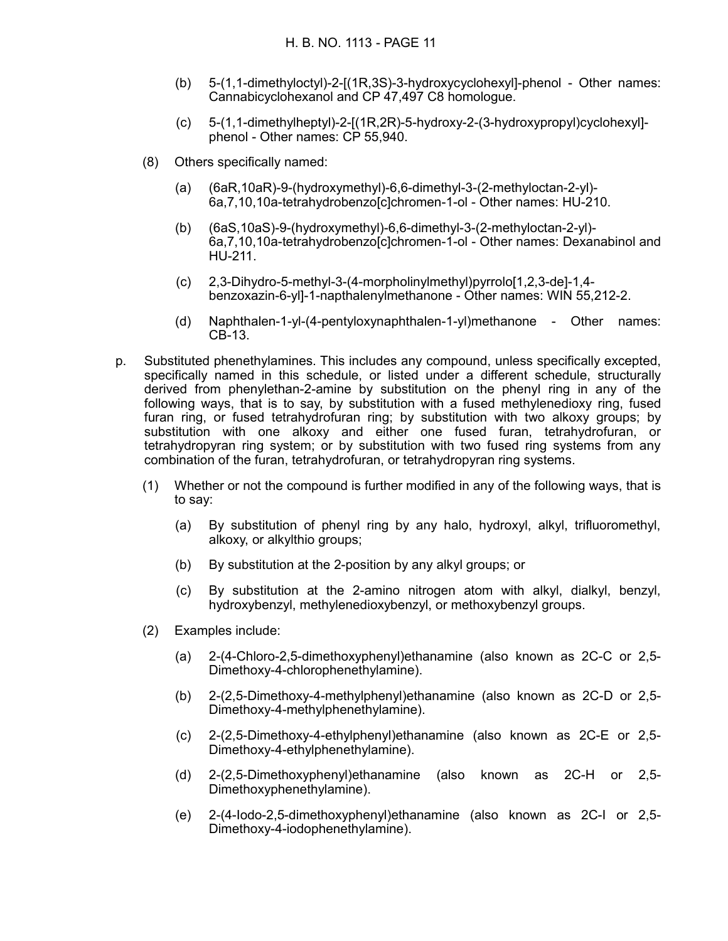- (b) 5-(1,1-dimethyloctyl)-2-[(1R,3S)-3-hydroxycyclohexyl]-phenol Other names: Cannabicyclohexanol and CP 47,497 C8 homologue.
- (c) 5-(1,1-dimethylheptyl)-2-[(1R,2R)-5-hydroxy-2-(3-hydroxypropyl)cyclohexyl] phenol - Other names: CP 55,940.
- (8) Others specifically named:
	- (a) (6aR,10aR)-9-(hydroxymethyl)-6,6-dimethyl-3-(2-methyloctan-2-yl)- 6a,7,10,10a-tetrahydrobenzo[c]chromen-1-ol - Other names: HU-210.
	- (b) (6aS,10aS)-9-(hydroxymethyl)-6,6-dimethyl-3-(2-methyloctan-2-yl)- 6a,7,10,10a-tetrahydrobenzo[c]chromen-1-ol - Other names: Dexanabinol and HU-211.
	- (c) 2,3-Dihydro-5-methyl-3-(4-morpholinylmethyl)pyrrolo[1,2,3-de]-1,4 benzoxazin-6-yl]-1-napthalenylmethanone - Other names: WIN 55,212-2.
	- (d) Naphthalen-1-yl-(4-pentyloxynaphthalen-1-yl)methanone Other names: CB-13.
- p. Substituted phenethylamines. This includes any compound, unless specifically excepted, specifically named in this schedule, or listed under a different schedule, structurally derived from phenylethan-2-amine by substitution on the phenyl ring in any of the following ways, that is to say, by substitution with a fused methylenedioxy ring, fused furan ring, or fused tetrahydrofuran ring; by substitution with two alkoxy groups; by substitution with one alkoxy and either one fused furan, tetrahydrofuran, or tetrahydropyran ring system; or by substitution with two fused ring systems from any combination of the furan, tetrahydrofuran, or tetrahydropyran ring systems.
	- (1) Whether or not the compound is further modified in any of the following ways, that is to say:
		- (a) By substitution of phenyl ring by any halo, hydroxyl, alkyl, trifluoromethyl, alkoxy, or alkylthio groups;
		- (b) By substitution at the 2-position by any alkyl groups; or
		- (c) By substitution at the 2-amino nitrogen atom with alkyl, dialkyl, benzyl, hydroxybenzyl, methylenedioxybenzyl, or methoxybenzyl groups.
	- (2) Examples include:
		- (a) 2-(4-Chloro-2,5-dimethoxyphenyl)ethanamine (also known as 2C-C or 2,5- Dimethoxy-4-chlorophenethylamine).
		- (b) 2-(2,5-Dimethoxy-4-methylphenyl)ethanamine (also known as 2C-D or 2,5- Dimethoxy-4-methylphenethylamine).
		- (c) 2-(2,5-Dimethoxy-4-ethylphenyl)ethanamine (also known as 2C-E or 2,5- Dimethoxy-4-ethylphenethylamine).
		- (d) 2-(2,5-Dimethoxyphenyl)ethanamine (also known as 2C-H or 2,5- Dimethoxyphenethylamine).
		- (e) 2-(4-Iodo-2,5-dimethoxyphenyl)ethanamine (also known as 2C-I or 2,5- Dimethoxy-4-iodophenethylamine).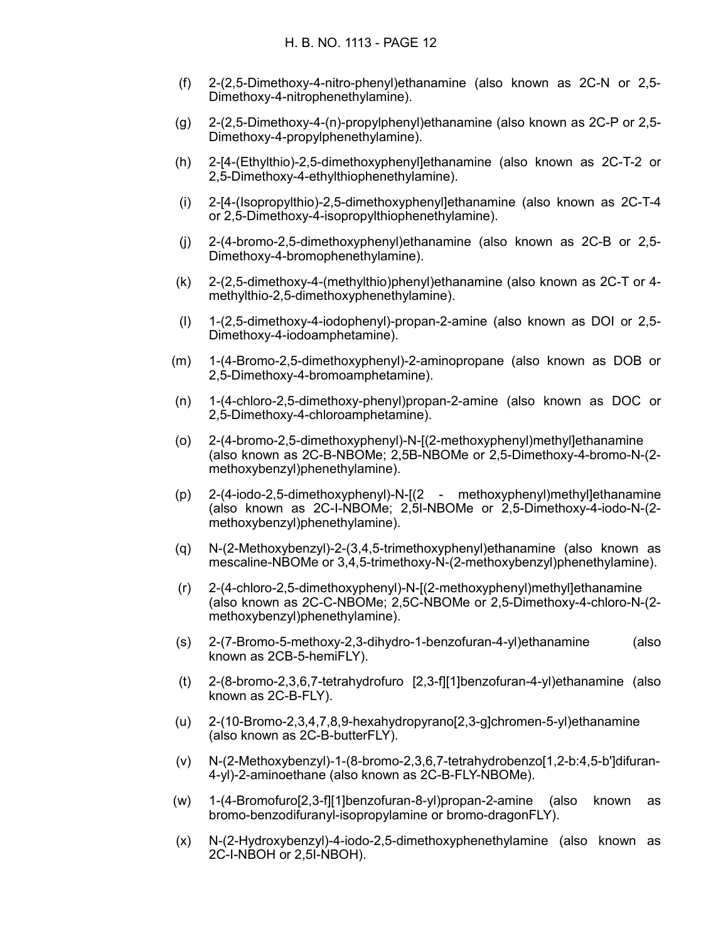- (f) 2-(2,5-Dimethoxy-4-nitro-phenyl)ethanamine (also known as 2C-N or 2,5- Dimethoxy-4-nitrophenethylamine).
- (g) 2-(2,5-Dimethoxy-4-(n)-propylphenyl)ethanamine (also known as 2C-P or 2,5- Dimethoxy-4-propylphenethylamine).
- (h) 2-[4-(Ethylthio)-2,5-dimethoxyphenyl]ethanamine (also known as 2C-T-2 or 2,5-Dimethoxy-4-ethylthiophenethylamine).
- (i) 2-[4-(Isopropylthio)-2,5-dimethoxyphenyl]ethanamine (also known as 2C-T-4 or 2,5-Dimethoxy-4-isopropylthiophenethylamine).
- (j) 2-(4-bromo-2,5-dimethoxyphenyl)ethanamine (also known as 2C-B or 2,5- Dimethoxy-4-bromophenethylamine).
- (k) 2-(2,5-dimethoxy-4-(methylthio)phenyl)ethanamine (also known as 2C-T or 4 methylthio-2,5-dimethoxyphenethylamine).
- (l) 1-(2,5-dimethoxy-4-iodophenyl)-propan-2-amine (also known as DOI or 2,5- Dimethoxy-4-iodoamphetamine).
- (m) 1-(4-Bromo-2,5-dimethoxyphenyl)-2-aminopropane (also known as DOB or 2,5-Dimethoxy-4-bromoamphetamine).
- (n) 1-(4-chloro-2,5-dimethoxy-phenyl)propan-2-amine (also known as DOC or 2,5-Dimethoxy-4-chloroamphetamine).
- (o) 2-(4-bromo-2,5-dimethoxyphenyl)-N-[(2-methoxyphenyl)methyl]ethanamine (also known as 2C-B-NBOMe; 2,5B-NBOMe or 2,5-Dimethoxy-4-bromo-N-(2 methoxybenzyl)phenethylamine).
- (p) 2-(4-iodo-2,5-dimethoxyphenyl)-N-[(2 methoxyphenyl)methyl]ethanamine (also known as 2C-I-NBOMe; 2,5I-NBOMe or 2,5-Dimethoxy-4-iodo-N-(2 methoxybenzyl)phenethylamine).
- (q) N-(2-Methoxybenzyl)-2-(3,4,5-trimethoxyphenyl)ethanamine (also known as mescaline-NBOMe or 3,4,5-trimethoxy-N-(2-methoxybenzyl)phenethylamine).
- (r) 2-(4-chloro-2,5-dimethoxyphenyl)-N-[(2-methoxyphenyl)methyl]ethanamine (also known as 2C-C-NBOMe; 2,5C-NBOMe or 2,5-Dimethoxy-4-chloro-N-(2 methoxybenzyl)phenethylamine).
- (s) 2-(7-Bromo-5-methoxy-2,3-dihydro-1-benzofuran-4-yl)ethanamine (also known as 2CB-5-hemiFLY).
- (t) 2-(8-bromo-2,3,6,7-tetrahydrofuro [2,3-f][1]benzofuran-4-yl)ethanamine (also known as 2C-B-FLY).
- (u) 2-(10-Bromo-2,3,4,7,8,9-hexahydropyrano[2,3-g]chromen-5-yl)ethanamine (also known as 2C-B-butterFLY).
- (v) N-(2-Methoxybenzyl)-1-(8-bromo-2,3,6,7-tetrahydrobenzo[1,2-b:4,5-b']difuran-4-yl)-2-aminoethane (also known as 2C-B-FLY-NBOMe).
- (w) 1-(4-Bromofuro[2,3-f][1]benzofuran-8-yl)propan-2-amine (also known as bromo-benzodifuranyl-isopropylamine or bromo-dragonFLY).
- (x) N-(2-Hydroxybenzyl)-4-iodo-2,5-dimethoxyphenethylamine (also known as 2C-I-NBOH or 2,5I-NBOH).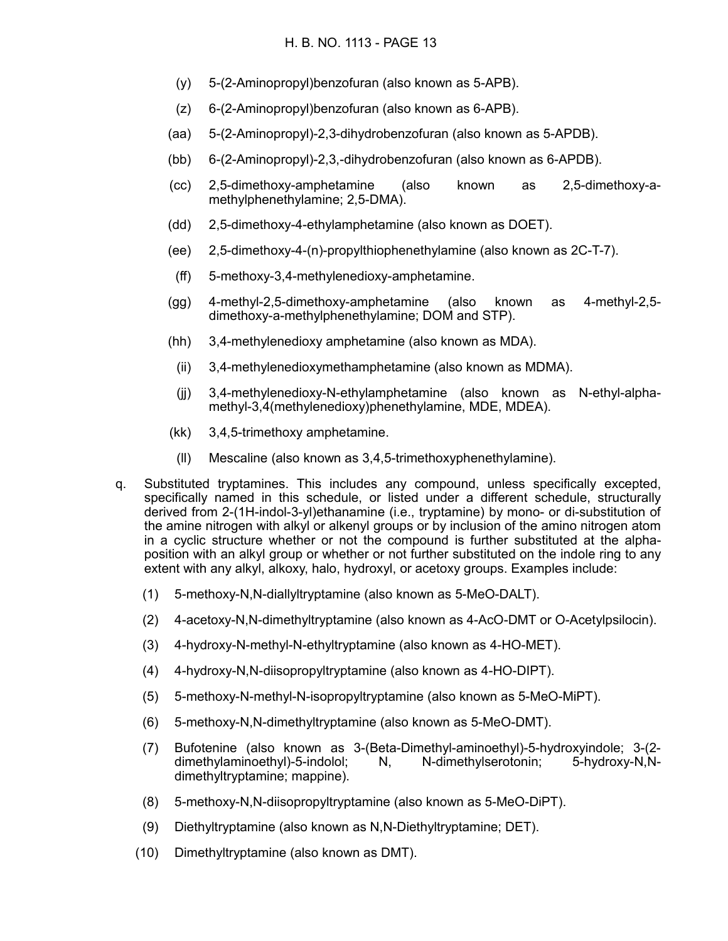- (y) 5-(2-Aminopropyl)benzofuran (also known as 5-APB).
- (z) 6-(2-Aminopropyl)benzofuran (also known as 6-APB).
- (aa) 5-(2-Aminopropyl)-2,3-dihydrobenzofuran (also known as 5-APDB).
- (bb) 6-(2-Aminopropyl)-2,3,-dihydrobenzofuran (also known as 6-APDB).
- (cc) 2,5-dimethoxy-amphetamine (also known as 2,5-dimethoxy-amethylphenethylamine; 2,5-DMA).
- (dd) 2,5-dimethoxy-4-ethylamphetamine (also known as DOET).
- (ee) 2,5-dimethoxy-4-(n)-propylthiophenethylamine (also known as 2C-T-7).
- (ff) 5-methoxy-3,4-methylenedioxy-amphetamine.
- (gg) 4-methyl-2,5-dimethoxy-amphetamine (also known as 4-methyl-2,5 dimethoxy-a-methylphenethylamine; DOM and STP).
- (hh) 3,4-methylenedioxy amphetamine (also known as MDA).
- (ii) 3,4-methylenedioxymethamphetamine (also known as MDMA).
- (jj) 3,4-methylenedioxy-N-ethylamphetamine (also known as N-ethyl-alphamethyl-3,4(methylenedioxy)phenethylamine, MDE, MDEA).
- (kk) 3,4,5-trimethoxy amphetamine.
- (ll) Mescaline (also known as 3,4,5-trimethoxyphenethylamine).
- q. Substituted tryptamines. This includes any compound, unless specifically excepted, specifically named in this schedule, or listed under a different schedule, structurally derived from 2-(1H-indol-3-yl)ethanamine (i.e., tryptamine) by mono- or di-substitution of the amine nitrogen with alkyl or alkenyl groups or by inclusion of the amino nitrogen atom in a cyclic structure whether or not the compound is further substituted at the alphaposition with an alkyl group or whether or not further substituted on the indole ring to any extent with any alkyl, alkoxy, halo, hydroxyl, or acetoxy groups. Examples include:
	- (1) 5-methoxy-N,N-diallyltryptamine (also known as 5-MeO-DALT).
	- (2) 4-acetoxy-N,N-dimethyltryptamine (also known as 4-AcO-DMT or O-Acetylpsilocin).
	- (3) 4-hydroxy-N-methyl-N-ethyltryptamine (also known as 4-HO-MET).
	- (4) 4-hydroxy-N,N-diisopropyltryptamine (also known as 4-HO-DIPT).
	- (5) 5-methoxy-N-methyl-N-isopropyltryptamine (also known as 5-MeO-MiPT).
	- (6) 5-methoxy-N,N-dimethyltryptamine (also known as 5-MeO-DMT).
	- (7) Bufotenine (also known as 3-(Beta-Dimethyl-aminoethyl)-5-hydroxyindole; 3-(2 dimethylaminoethyl)-5-indolol; N, N-dimethylserotonin; 5-hydroxy-N,Ndimethyltryptamine; mappine).
	- (8) 5-methoxy-N,N-diisopropyltryptamine (also known as 5-MeO-DiPT).
	- (9) Diethyltryptamine (also known as N,N-Diethyltryptamine; DET).
	- (10) Dimethyltryptamine (also known as DMT).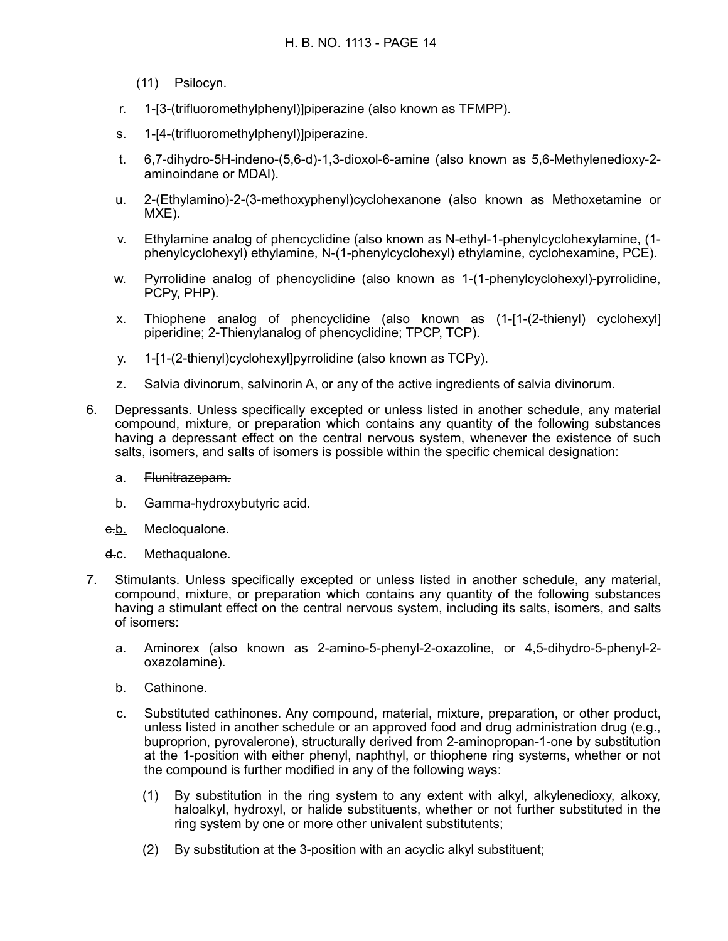(11) Psilocyn.

- r. 1-[3-(trifluoromethylphenyl)]piperazine (also known as TFMPP).
- s. 1-[4-(trifluoromethylphenyl)]piperazine.
- t. 6,7-dihydro-5H-indeno-(5,6-d)-1,3-dioxol-6-amine (also known as 5,6-Methylenedioxy-2 aminoindane or MDAI).
- u. 2-(Ethylamino)-2-(3-methoxyphenyl)cyclohexanone (also known as Methoxetamine or MXE).
- v. Ethylamine analog of phencyclidine (also known as N-ethyl-1-phenylcyclohexylamine, (1 phenylcyclohexyl) ethylamine, N-(1-phenylcyclohexyl) ethylamine, cyclohexamine, PCE).
- w. Pyrrolidine analog of phencyclidine (also known as 1-(1-phenylcyclohexyl)-pyrrolidine, PCPy, PHP).
- x. Thiophene analog of phencyclidine (also known as (1-[1-(2-thienyl) cyclohexyl] piperidine; 2-Thienylanalog of phencyclidine; TPCP, TCP).
- y. 1-[1-(2-thienyl)cyclohexyl]pyrrolidine (also known as TCPy).
- z. Salvia divinorum, salvinorin A, or any of the active ingredients of salvia divinorum.
- 6. Depressants. Unless specifically excepted or unless listed in another schedule, any material compound, mixture, or preparation which contains any quantity of the following substances having a depressant effect on the central nervous system, whenever the existence of such salts, isomers, and salts of isomers is possible within the specific chemical designation:
	- a. Flunitrazepam.
	- b. Gamma-hydroxybutyric acid.
	- e.b. Mecloqualone.
	- d.c. Methaqualone.
- 7. Stimulants. Unless specifically excepted or unless listed in another schedule, any material, compound, mixture, or preparation which contains any quantity of the following substances having a stimulant effect on the central nervous system, including its salts, isomers, and salts of isomers:
	- a. Aminorex (also known as 2-amino-5-phenyl-2-oxazoline, or 4,5-dihydro-5-phenyl-2 oxazolamine).
	- b. Cathinone.
	- c. Substituted cathinones. Any compound, material, mixture, preparation, or other product, unless listed in another schedule or an approved food and drug administration drug (e.g., buproprion, pyrovalerone), structurally derived from 2-aminopropan-1-one by substitution at the 1-position with either phenyl, naphthyl, or thiophene ring systems, whether or not the compound is further modified in any of the following ways:
		- (1) By substitution in the ring system to any extent with alkyl, alkylenedioxy, alkoxy, haloalkyl, hydroxyl, or halide substituents, whether or not further substituted in the ring system by one or more other univalent substitutents;
		- (2) By substitution at the 3-position with an acyclic alkyl substituent;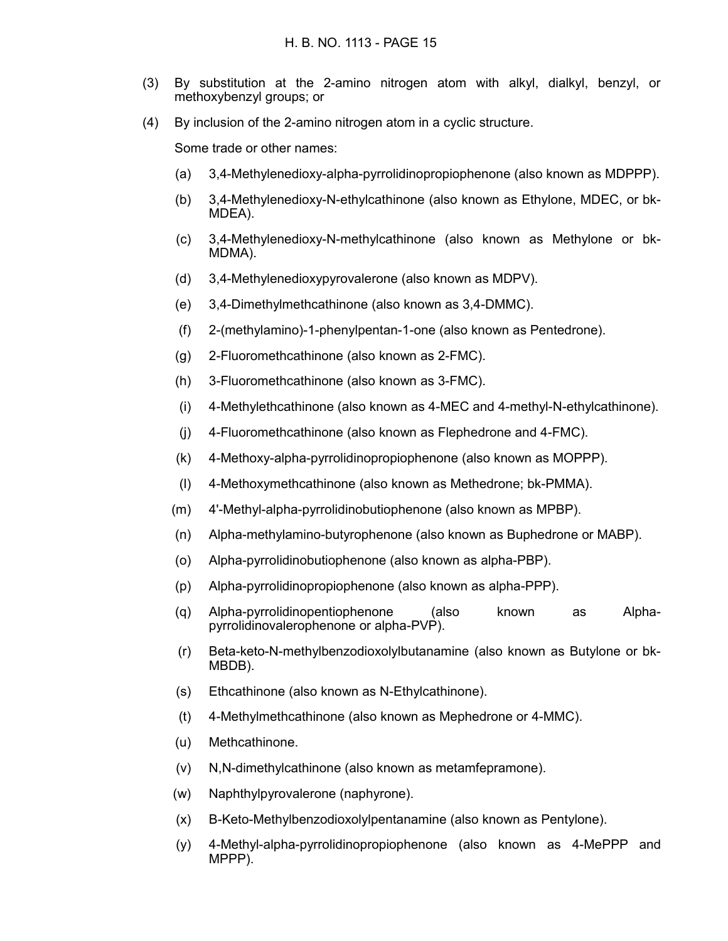- (3) By substitution at the 2-amino nitrogen atom with alkyl, dialkyl, benzyl, or methoxybenzyl groups; or
- (4) By inclusion of the 2-amino nitrogen atom in a cyclic structure.

Some trade or other names:

- (a) 3,4-Methylenedioxy-alpha-pyrrolidinopropiophenone (also known as MDPPP).
- (b) 3,4-Methylenedioxy-N-ethylcathinone (also known as Ethylone, MDEC, or bk-MDEA).
- (c) 3,4-Methylenedioxy-N-methylcathinone (also known as Methylone or bk-MDMA).
- (d) 3,4-Methylenedioxypyrovalerone (also known as MDPV).
- (e) 3,4-Dimethylmethcathinone (also known as 3,4-DMMC).
- (f) 2-(methylamino)-1-phenylpentan-1-one (also known as Pentedrone).
- (g) 2-Fluoromethcathinone (also known as 2-FMC).
- (h) 3-Fluoromethcathinone (also known as 3-FMC).
- (i) 4-Methylethcathinone (also known as 4-MEC and 4-methyl-N-ethylcathinone).
- (j) 4-Fluoromethcathinone (also known as Flephedrone and 4-FMC).
- (k) 4-Methoxy-alpha-pyrrolidinopropiophenone (also known as MOPPP).
- (l) 4-Methoxymethcathinone (also known as Methedrone; bk-PMMA).
- (m) 4'-Methyl-alpha-pyrrolidinobutiophenone (also known as MPBP).
- (n) Alpha-methylamino-butyrophenone (also known as Buphedrone or MABP).
- (o) Alpha-pyrrolidinobutiophenone (also known as alpha-PBP).
- (p) Alpha-pyrrolidinopropiophenone (also known as alpha-PPP).
- (q) Alpha-pyrrolidinopentiophenone (also known as Alphapyrrolidinovalerophenone or alpha-PVP).
- (r) Beta-keto-N-methylbenzodioxolylbutanamine (also known as Butylone or bk-MBDB).
- (s) Ethcathinone (also known as N-Ethylcathinone).
- (t) 4-Methylmethcathinone (also known as Mephedrone or 4-MMC).
- (u) Methcathinone.
- (v) N,N-dimethylcathinone (also known as metamfepramone).
- (w) Naphthylpyrovalerone (naphyrone).
- (x) B-Keto-Methylbenzodioxolylpentanamine (also known as Pentylone).
- (y) 4-Methyl-alpha-pyrrolidinopropiophenone (also known as 4-MePPP and MPPP).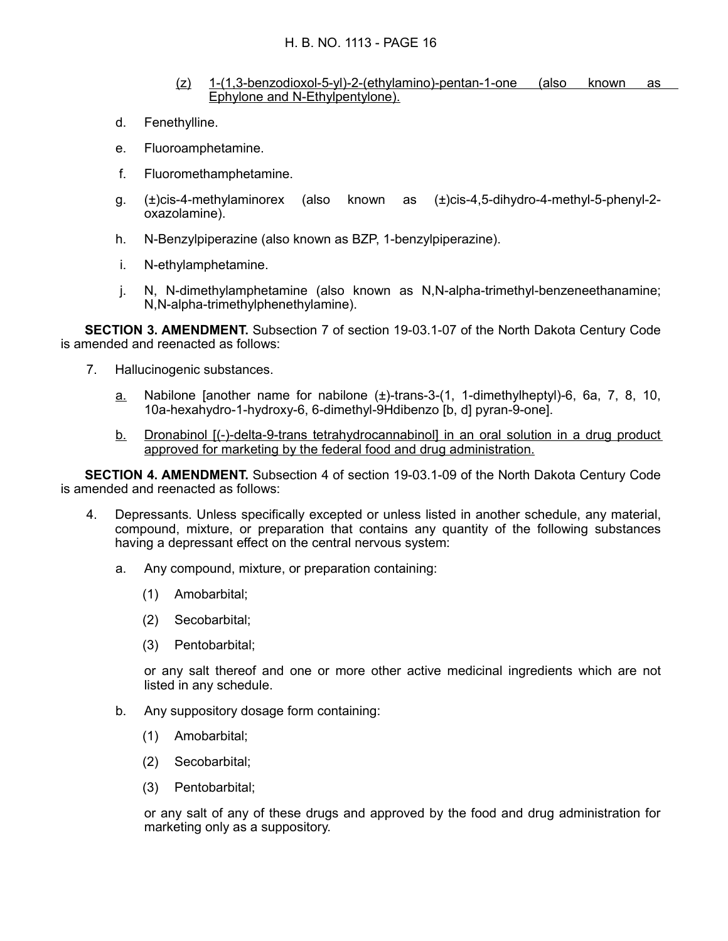- (z) 1-(1,3-benzodioxol-5-yl)-2-(ethylamino)-pentan-1-one (also known as Ephylone and N-Ethylpentylone).
- d. Fenethylline.
- e. Fluoroamphetamine.
- f. Fluoromethamphetamine.
- g. (±)cis-4-methylaminorex (also known as (±)cis-4,5-dihydro-4-methyl-5-phenyl-2 oxazolamine).
- h. N-Benzylpiperazine (also known as BZP, 1-benzylpiperazine).
- i. N-ethylamphetamine.
- j. N, N-dimethylamphetamine (also known as N,N-alpha-trimethyl-benzeneethanamine; N,N-alpha-trimethylphenethylamine).

**SECTION 3. AMENDMENT.** Subsection 7 of section 19-03.1-07 of the North Dakota Century Code is amended and reenacted as follows:

- 7. Hallucinogenic substances.
	- a. Nabilone [another name for nabilone (±)-trans-3-(1, 1-dimethylheptyl)-6, 6a, 7, 8, 10, 10a-hexahydro-1-hydroxy-6, 6-dimethyl-9Hdibenzo [b, d] pyran-9-one].
	- b. Dronabinol [(-)-delta-9-trans tetrahydrocannabinol] in an oral solution in a drug product approved for marketing by the federal food and drug administration.

**SECTION 4. AMENDMENT.** Subsection 4 of section 19-03.1-09 of the North Dakota Century Code is amended and reenacted as follows:

- 4. Depressants. Unless specifically excepted or unless listed in another schedule, any material, compound, mixture, or preparation that contains any quantity of the following substances having a depressant effect on the central nervous system:
	- a. Any compound, mixture, or preparation containing:
		- (1) Amobarbital;
		- (2) Secobarbital;
		- (3) Pentobarbital;

or any salt thereof and one or more other active medicinal ingredients which are not listed in any schedule.

- b. Any suppository dosage form containing:
	- (1) Amobarbital;
	- (2) Secobarbital;
	- (3) Pentobarbital;

or any salt of any of these drugs and approved by the food and drug administration for marketing only as a suppository.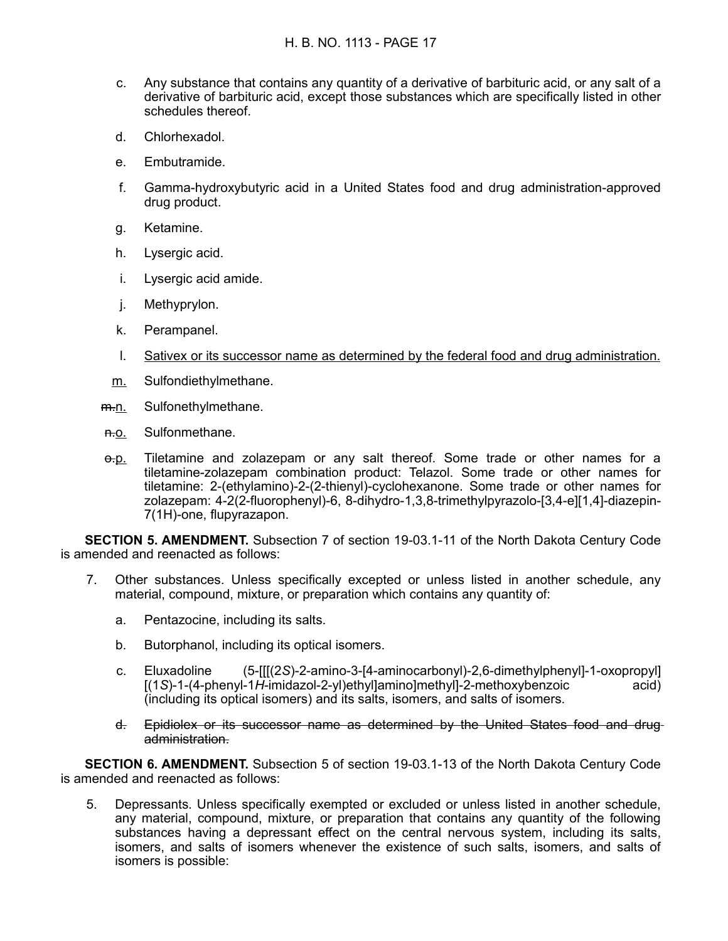- c. Any substance that contains any quantity of a derivative of barbituric acid, or any salt of a derivative of barbituric acid, except those substances which are specifically listed in other schedules thereof.
- d. Chlorhexadol.
- e. Embutramide.
- f. Gamma-hydroxybutyric acid in a United States food and drug administration-approved drug product.
- g. Ketamine.
- h. Lysergic acid.
- i. Lysergic acid amide.
- j. Methyprylon.
- k. Perampanel.
- l. Sativex or its successor name as determined by the federal food and drug administration.
- m. Sulfondiethylmethane.
- m.n. Sulfonethylmethane.
- n.o. Sulfonmethane.
- $\theta$ -p. Tiletamine and zolazepam or any salt thereof. Some trade or other names for a tiletamine-zolazepam combination product: Telazol. Some trade or other names for tiletamine: 2-(ethylamino)-2-(2-thienyl)-cyclohexanone. Some trade or other names for zolazepam: 4-2(2-fluorophenyl)-6, 8-dihydro-1,3,8-trimethylpyrazolo-[3,4-e][1,4]-diazepin-7(1H)-one, flupyrazapon.

**SECTION 5. AMENDMENT.** Subsection 7 of section 19-03.1-11 of the North Dakota Century Code is amended and reenacted as follows:

- 7. Other substances. Unless specifically excepted or unless listed in another schedule, any material, compound, mixture, or preparation which contains any quantity of:
	- a. Pentazocine, including its salts.
	- b. Butorphanol, including its optical isomers.
	- c. Eluxadoline (5-[[[(2*S*)-2-amino-3-[4-aminocarbonyl)-2,6-dimethylphenyl]-1-oxopropyl] [(1*S*)-1-(4-phenyl-1*H*-imidazol-2-yl)ethyl]amino]methyl]-2-methoxybenzoic acid) (including its optical isomers) and its salts, isomers, and salts of isomers.
	- d. Epidiolex or its successor name as determined by the United States food and drug administration.

**SECTION 6. AMENDMENT.** Subsection 5 of section 19-03.1-13 of the North Dakota Century Code is amended and reenacted as follows:

5. Depressants. Unless specifically exempted or excluded or unless listed in another schedule, any material, compound, mixture, or preparation that contains any quantity of the following substances having a depressant effect on the central nervous system, including its salts, isomers, and salts of isomers whenever the existence of such salts, isomers, and salts of isomers is possible: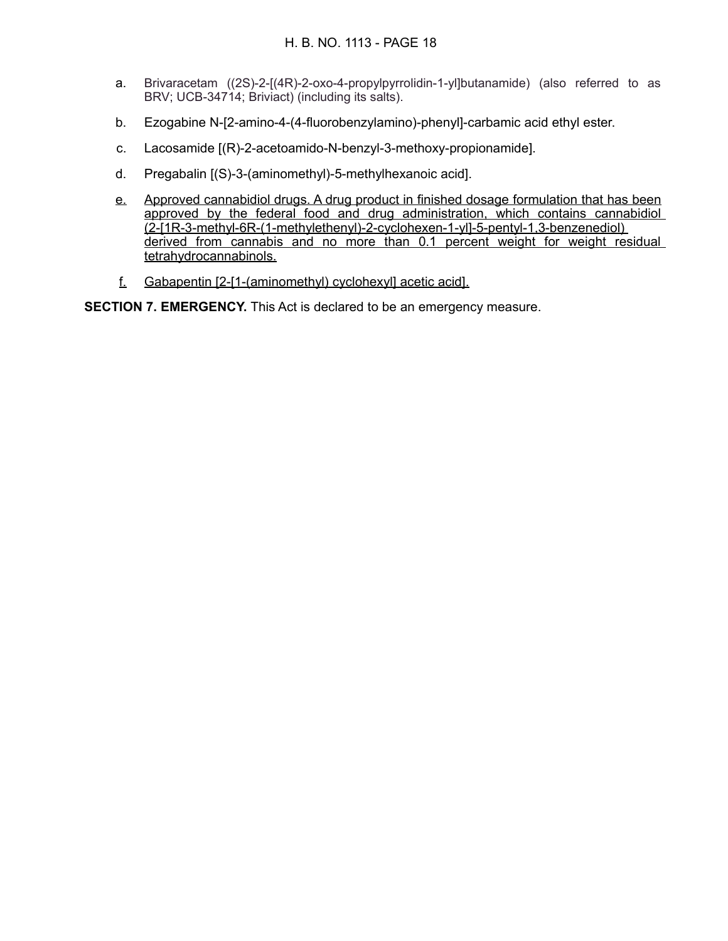- a. Brivaracetam ((2S)-2-[(4R)-2-oxo-4-propylpyrrolidin-1-yl]butanamide) (also referred to as BRV; UCB-34714; Briviact) (including its salts).
- b. Ezogabine N-[2-amino-4-(4-fluorobenzylamino)-phenyl]-carbamic acid ethyl ester.
- c. Lacosamide [(R)-2-acetoamido-N-benzyl-3-methoxy-propionamide].
- d. Pregabalin [(S)-3-(aminomethyl)-5-methylhexanoic acid].
- e. Approved cannabidiol drugs. A drug product in finished dosage formulation that has been approved by the federal food and drug administration, which contains cannabidiol (2-[1R-3-methyl-6R-(1-methylethenyl)-2-cyclohexen-1-yl]-5-pentyl-1,3-benzenediol) derived from cannabis and no more than 0.1 percent weight for weight residual tetrahydrocannabinols.
- f. Gabapentin [2-[1-(aminomethyl) cyclohexyl] acetic acid].

**SECTION 7. EMERGENCY.** This Act is declared to be an emergency measure.